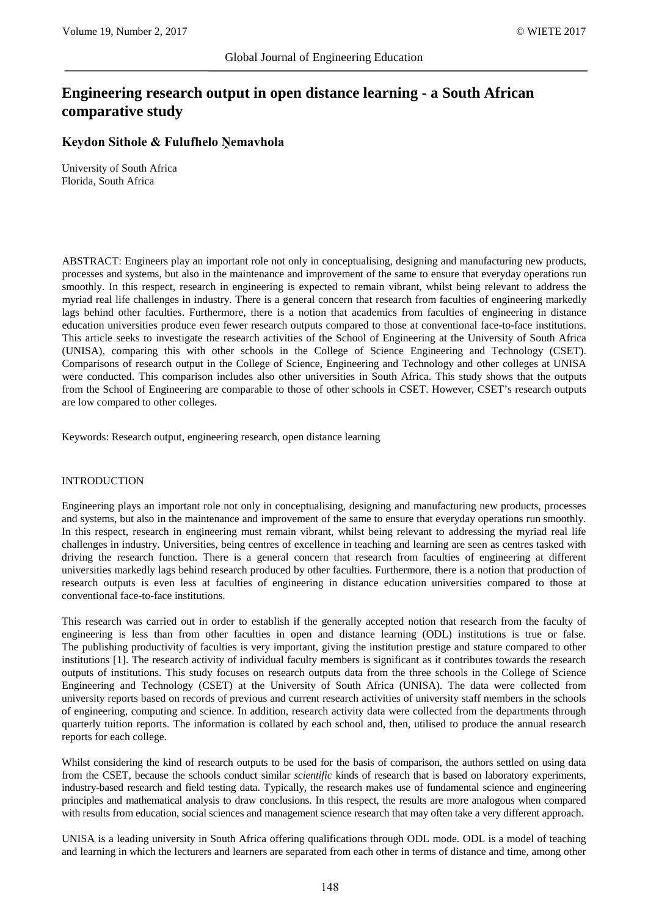# **Engineering research output in open distance learning - a South African comparative study**

# **Keydon Sithole & Fulufhelo Nemavhola**

University of South Africa Florida, South Africa

ABSTRACT: Engineers play an important role not only in conceptualising, designing and manufacturing new products, processes and systems, but also in the maintenance and improvement of the same to ensure that everyday operations run smoothly. In this respect, research in engineering is expected to remain vibrant, whilst being relevant to address the myriad real life challenges in industry. There is a general concern that research from faculties of engineering markedly lags behind other faculties. Furthermore, there is a notion that academics from faculties of engineering in distance education universities produce even fewer research outputs compared to those at conventional face-to-face institutions. This article seeks to investigate the research activities of the School of Engineering at the University of South Africa (UNISA), comparing this with other schools in the College of Science Engineering and Technology (CSET). Comparisons of research output in the College of Science, Engineering and Technology and other colleges at UNISA were conducted. This comparison includes also other universities in South Africa. This study shows that the outputs from the School of Engineering are comparable to those of other schools in CSET. However, CSET's research outputs are low compared to other colleges.

Keywords: Research output, engineering research, open distance learning

#### INTRODUCTION

Engineering plays an important role not only in conceptualising, designing and manufacturing new products, processes and systems, but also in the maintenance and improvement of the same to ensure that everyday operations run smoothly. In this respect, research in engineering must remain vibrant, whilst being relevant to addressing the myriad real life challenges in industry. Universities, being centres of excellence in teaching and learning are seen as centres tasked with driving the research function. There is a general concern that research from faculties of engineering at different universities markedly lags behind research produced by other faculties. Furthermore, there is a notion that production of research outputs is even less at faculties of engineering in distance education universities compared to those at conventional face-to-face institutions.

This research was carried out in order to establish if the generally accepted notion that research from the faculty of engineering is less than from other faculties in open and distance learning (ODL) institutions is true or false. The publishing productivity of faculties is very important, giving the institution prestige and stature compared to other institutions [1]. The research activity of individual faculty members is significant as it contributes towards the research outputs of institutions. This study focuses on research outputs data from the three schools in the College of Science Engineering and Technology (CSET) at the University of South Africa (UNISA). The data were collected from university reports based on records of previous and current research activities of university staff members in the schools of engineering, computing and science. In addition, research activity data were collected from the departments through quarterly tuition reports. The information is collated by each school and, then, utilised to produce the annual research reports for each college.

Whilst considering the kind of research outputs to be used for the basis of comparison, the authors settled on using data from the CSET, because the schools conduct similar *scientific* kinds of research that is based on laboratory experiments, industry-based research and field testing data. Typically, the research makes use of fundamental science and engineering principles and mathematical analysis to draw conclusions. In this respect, the results are more analogous when compared with results from education, social sciences and management science research that may often take a very different approach.

UNISA is a leading university in South Africa offering qualifications through ODL mode. ODL is a model of teaching and learning in which the lecturers and learners are separated from each other in terms of distance and time, among other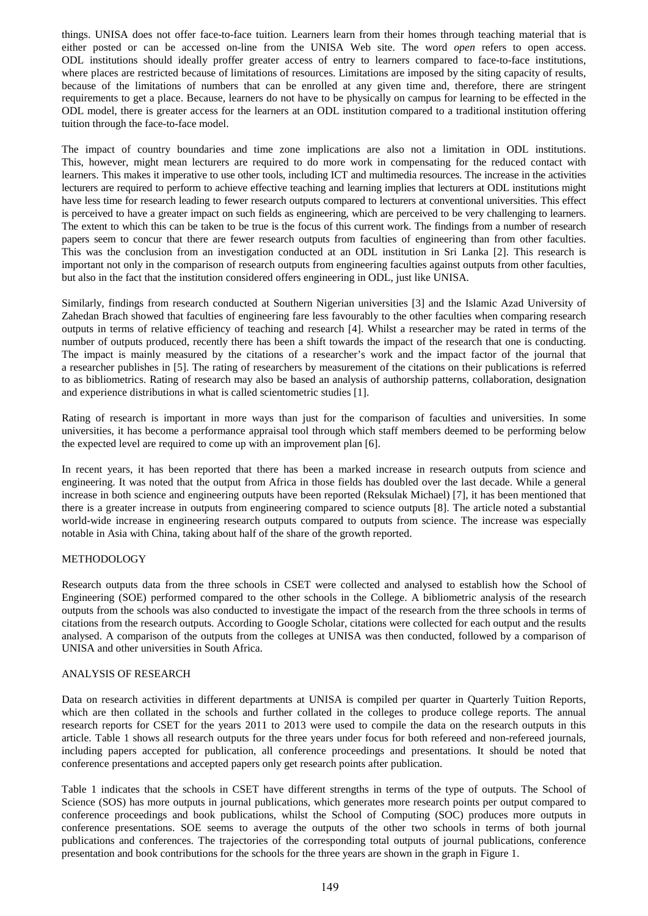things. UNISA does not offer face-to-face tuition. Learners learn from their homes through teaching material that is either posted or can be accessed on-line from the UNISA Web site. The word *open* refers to open access. ODL institutions should ideally proffer greater access of entry to learners compared to face-to-face institutions, where places are restricted because of limitations of resources. Limitations are imposed by the siting capacity of results, because of the limitations of numbers that can be enrolled at any given time and, therefore, there are stringent requirements to get a place. Because, learners do not have to be physically on campus for learning to be effected in the ODL model, there is greater access for the learners at an ODL institution compared to a traditional institution offering tuition through the face-to-face model.

The impact of country boundaries and time zone implications are also not a limitation in ODL institutions. This, however, might mean lecturers are required to do more work in compensating for the reduced contact with learners. This makes it imperative to use other tools, including ICT and multimedia resources. The increase in the activities lecturers are required to perform to achieve effective teaching and learning implies that lecturers at ODL institutions might have less time for research leading to fewer research outputs compared to lecturers at conventional universities. This effect is perceived to have a greater impact on such fields as engineering, which are perceived to be very challenging to learners. The extent to which this can be taken to be true is the focus of this current work. The findings from a number of research papers seem to concur that there are fewer research outputs from faculties of engineering than from other faculties. This was the conclusion from an investigation conducted at an ODL institution in Sri Lanka [2]. This research is important not only in the comparison of research outputs from engineering faculties against outputs from other faculties, but also in the fact that the institution considered offers engineering in ODL, just like UNISA.

Similarly, findings from research conducted at Southern Nigerian universities [3] and the Islamic Azad University of Zahedan Brach showed that faculties of engineering fare less favourably to the other faculties when comparing research outputs in terms of relative efficiency of teaching and research [4]. Whilst a researcher may be rated in terms of the number of outputs produced, recently there has been a shift towards the impact of the research that one is conducting. The impact is mainly measured by the citations of a researcher's work and the impact factor of the journal that a researcher publishes in [5]. The rating of researchers by measurement of the citations on their publications is referred to as bibliometrics. Rating of research may also be based an analysis of authorship patterns, collaboration, designation and experience distributions in what is called scientometric studies [1].

Rating of research is important in more ways than just for the comparison of faculties and universities. In some universities, it has become a performance appraisal tool through which staff members deemed to be performing below the expected level are required to come up with an improvement plan [6].

In recent years, it has been reported that there has been a marked increase in research outputs from science and engineering. It was noted that the output from Africa in those fields has doubled over the last decade. While a general increase in both science and engineering outputs have been reported (Reksulak Michael) [7], it has been mentioned that there is a greater increase in outputs from engineering compared to science outputs [8]. The article noted a substantial world-wide increase in engineering research outputs compared to outputs from science. The increase was especially notable in Asia with China, taking about half of the share of the growth reported.

# METHODOLOGY

Research outputs data from the three schools in CSET were collected and analysed to establish how the School of Engineering (SOE) performed compared to the other schools in the College. A bibliometric analysis of the research outputs from the schools was also conducted to investigate the impact of the research from the three schools in terms of citations from the research outputs. According to Google Scholar, citations were collected for each output and the results analysed. A comparison of the outputs from the colleges at UNISA was then conducted, followed by a comparison of UNISA and other universities in South Africa.

## ANALYSIS OF RESEARCH

Data on research activities in different departments at UNISA is compiled per quarter in Quarterly Tuition Reports, which are then collated in the schools and further collated in the colleges to produce college reports. The annual research reports for CSET for the years 2011 to 2013 were used to compile the data on the research outputs in this article. Table 1 shows all research outputs for the three years under focus for both refereed and non-refereed journals, including papers accepted for publication, all conference proceedings and presentations. It should be noted that conference presentations and accepted papers only get research points after publication.

Table 1 indicates that the schools in CSET have different strengths in terms of the type of outputs. The School of Science (SOS) has more outputs in journal publications, which generates more research points per output compared to conference proceedings and book publications, whilst the School of Computing (SOC) produces more outputs in conference presentations. SOE seems to average the outputs of the other two schools in terms of both journal publications and conferences. The trajectories of the corresponding total outputs of journal publications, conference presentation and book contributions for the schools for the three years are shown in the graph in Figure 1.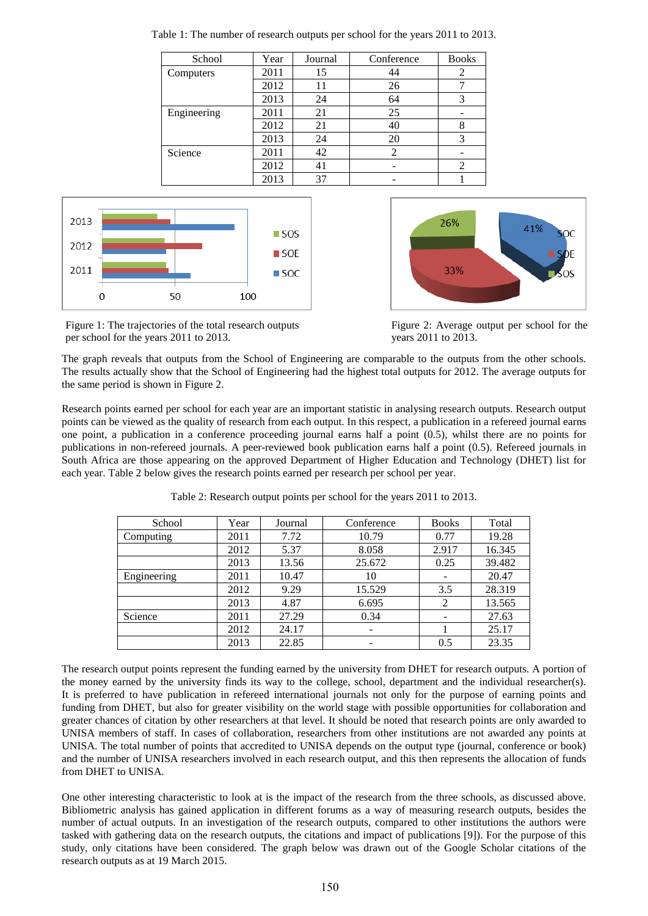| School      | Year | Journal | Conference | <b>Books</b> |
|-------------|------|---------|------------|--------------|
| Computers   | 2011 | 15      | 44         |              |
|             | 2012 | 11      | 26         |              |
|             | 2013 | 24      | 64         |              |
| Engineering | 2011 | 21      | 25         |              |
|             | 2012 | 21      | 40         | 8            |
|             | 2013 | 24      | 20         |              |
| Science     | 2011 | 42      |            |              |
|             | 2012 | 41      |            | 2            |
|             | 2013 | 37      |            |              |







Figure 1: The trajectories of the total research outputs per school for the years 2011 to 2013.

Figure 2: Average output per school for the years 2011 to 2013.

The graph reveals that outputs from the School of Engineering are comparable to the outputs from the other schools. The results actually show that the School of Engineering had the highest total outputs for 2012. The average outputs for the same period is shown in Figure 2.

Research points earned per school for each year are an important statistic in analysing research outputs. Research output points can be viewed as the quality of research from each output. In this respect, a publication in a refereed journal earns one point, a publication in a conference proceeding journal earns half a point (0.5), whilst there are no points for publications in non-refereed journals. A peer-reviewed book publication earns half a point (0.5). Refereed journals in South Africa are those appearing on the approved Department of Higher Education and Technology (DHET) list for each year. Table 2 below gives the research points earned per research per school per year.

| School      | Year | Journal | Conference | <b>Books</b>   | Total  |
|-------------|------|---------|------------|----------------|--------|
| Computing   | 2011 | 7.72    | 10.79      | 0.77           | 19.28  |
|             | 2012 | 5.37    | 8.058      | 2.917          | 16.345 |
|             | 2013 | 13.56   | 25.672     | 0.25           | 39.482 |
| Engineering | 2011 | 10.47   | 10         |                | 20.47  |
|             | 2012 | 9.29    | 15.529     | 3.5            | 28.319 |
|             | 2013 | 4.87    | 6.695      | $\mathfrak{D}$ | 13.565 |
| Science     | 2011 | 27.29   | 0.34       |                | 27.63  |
|             | 2012 | 24.17   |            |                | 25.17  |
|             | 2013 | 22.85   |            | 0.5            | 23.35  |

Table 2: Research output points per school for the years 2011 to 2013.

The research output points represent the funding earned by the university from DHET for research outputs. A portion of the money earned by the university finds its way to the college, school, department and the individual researcher(s). It is preferred to have publication in refereed international journals not only for the purpose of earning points and funding from DHET, but also for greater visibility on the world stage with possible opportunities for collaboration and greater chances of citation by other researchers at that level. It should be noted that research points are only awarded to UNISA members of staff. In cases of collaboration, researchers from other institutions are not awarded any points at UNISA. The total number of points that accredited to UNISA depends on the output type (journal, conference or book) and the number of UNISA researchers involved in each research output, and this then represents the allocation of funds from DHET to UNISA.

One other interesting characteristic to look at is the impact of the research from the three schools, as discussed above. Bibliometric analysis has gained application in different forums as a way of measuring research outputs, besides the number of actual outputs. In an investigation of the research outputs, compared to other institutions the authors were tasked with gathering data on the research outputs, the citations and impact of publications [9]). For the purpose of this study, only citations have been considered. The graph below was drawn out of the Google Scholar citations of the research outputs as at 19 March 2015.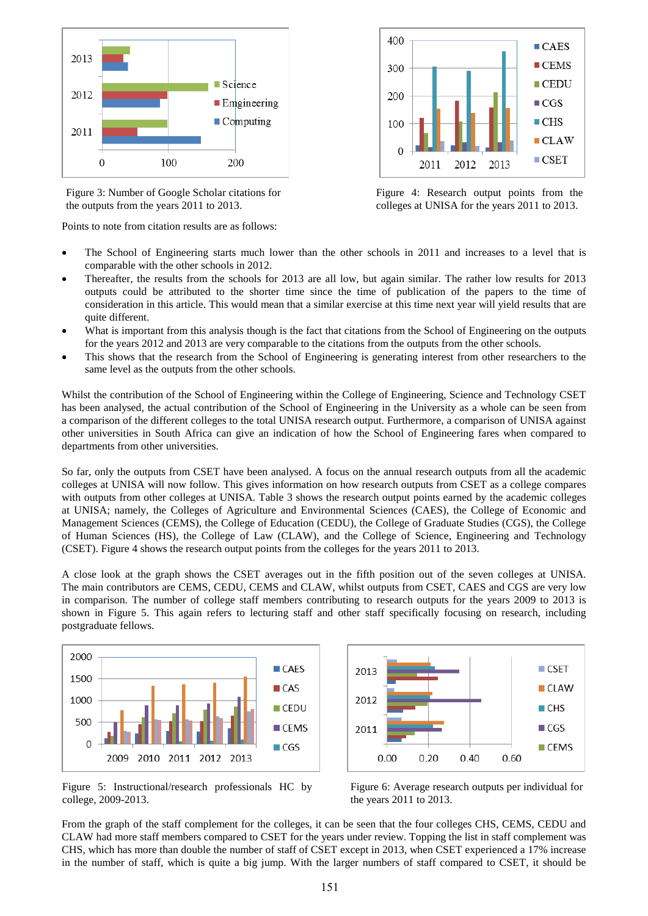

Figure 3: Number of Google Scholar citations for the outputs from the years 2011 to 2013.



Figure 4: Research output points from the colleges at UNISA for the years 2011 to 2013.

Points to note from citation results are as follows:

- The School of Engineering starts much lower than the other schools in 2011 and increases to a level that is comparable with the other schools in 2012.
- Thereafter, the results from the schools for 2013 are all low, but again similar. The rather low results for 2013 outputs could be attributed to the shorter time since the time of publication of the papers to the time of consideration in this article. This would mean that a similar exercise at this time next year will yield results that are quite different.
- What is important from this analysis though is the fact that citations from the School of Engineering on the outputs for the years 2012 and 2013 are very comparable to the citations from the outputs from the other schools.
- This shows that the research from the School of Engineering is generating interest from other researchers to the same level as the outputs from the other schools.

Whilst the contribution of the School of Engineering within the College of Engineering, Science and Technology CSET has been analysed, the actual contribution of the School of Engineering in the University as a whole can be seen from a comparison of the different colleges to the total UNISA research output. Furthermore, a comparison of UNISA against other universities in South Africa can give an indication of how the School of Engineering fares when compared to departments from other universities.

So far, only the outputs from CSET have been analysed. A focus on the annual research outputs from all the academic colleges at UNISA will now follow. This gives information on how research outputs from CSET as a college compares with outputs from other colleges at UNISA. Table 3 shows the research output points earned by the academic colleges at UNISA; namely, the Colleges of Agriculture and Environmental Sciences (CAES), the College of Economic and Management Sciences (CEMS), the College of Education (CEDU), the College of Graduate Studies (CGS), the College of Human Sciences (HS), the College of Law (CLAW), and the College of Science, Engineering and Technology (CSET). Figure 4 shows the research output points from the colleges for the years 2011 to 2013.

A close look at the graph shows the CSET averages out in the fifth position out of the seven colleges at UNISA. The main contributors are CEMS, CEDU, CEMS and CLAW, whilst outputs from CSET, CAES and CGS are very low in comparison. The number of college staff members contributing to research outputs for the years 2009 to 2013 is shown in Figure 5. This again refers to lecturing staff and other staff specifically focusing on research, including postgraduate fellows.





Figure 5: Instructional/research professionals HC by college, 2009-2013.

Figure 6: Average research outputs per individual for the years 2011 to 2013.

From the graph of the staff complement for the colleges, it can be seen that the four colleges CHS, CEMS, CEDU and CLAW had more staff members compared to CSET for the years under review. Topping the list in staff complement was CHS, which has more than double the number of staff of CSET except in 2013, when CSET experienced a 17% increase in the number of staff, which is quite a big jump. With the larger numbers of staff compared to CSET, it should be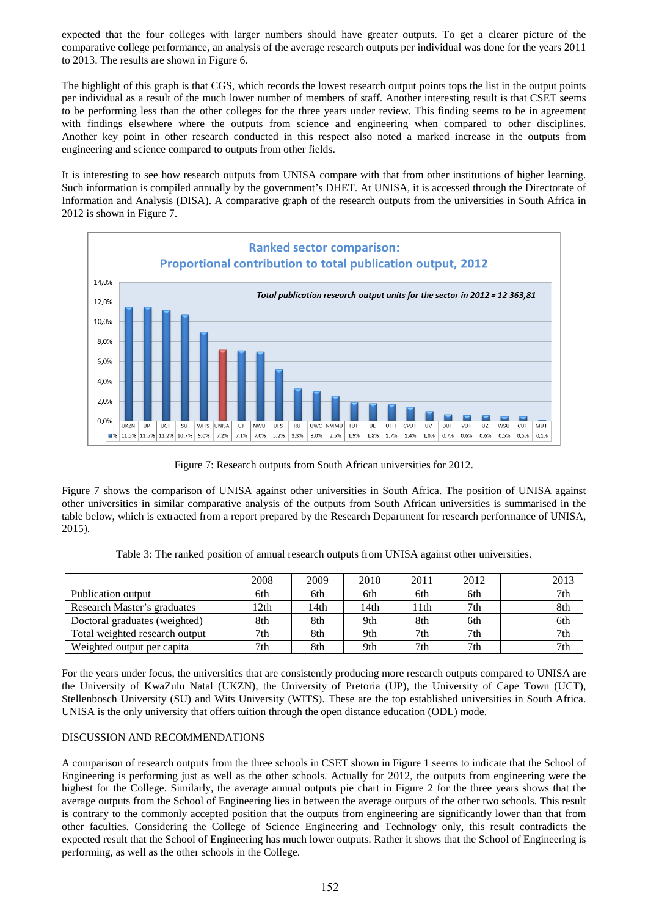expected that the four colleges with larger numbers should have greater outputs. To get a clearer picture of the comparative college performance, an analysis of the average research outputs per individual was done for the years 2011 to 2013. The results are shown in Figure 6.

The highlight of this graph is that CGS, which records the lowest research output points tops the list in the output points per individual as a result of the much lower number of members of staff. Another interesting result is that CSET seems to be performing less than the other colleges for the three years under review. This finding seems to be in agreement with findings elsewhere where the outputs from science and engineering when compared to other disciplines. Another key point in other research conducted in this respect also noted a marked increase in the outputs from engineering and science compared to outputs from other fields.

It is interesting to see how research outputs from UNISA compare with that from other institutions of higher learning. Such information is compiled annually by the government's DHET. At UNISA, it is accessed through the Directorate of Information and Analysis (DISA). A comparative graph of the research outputs from the universities in South Africa in 2012 is shown in Figure 7.



Figure 7: Research outputs from South African universities for 2012.

Figure 7 shows the comparison of UNISA against other universities in South Africa. The position of UNISA against other universities in similar comparative analysis of the outputs from South African universities is summarised in the table below, which is extracted from a report prepared by the Research Department for research performance of UNISA, 2015).

Table 3: The ranked position of annual research outputs from UNISA against other universities.

|                                | 2008 | 2009 | 2010 | 2011 | 2012 | 2013 |
|--------------------------------|------|------|------|------|------|------|
| Publication output             | 6th  | 6th  | 6th  | 6th  | 6th  | 7th  |
| Research Master's graduates    | 12th | 14th | 14th | .1th | 7th  | 8th  |
| Doctoral graduates (weighted)  | 8th  | 8th  | 9th  | 8th  | 6th  | 6th  |
| Total weighted research output | 7th  | 8th  | 9th  | 7th  | 7th  | 7th  |
| Weighted output per capita.    | 7th  | 8th  | 9th  | 7th  | 7th  | 7th  |

For the years under focus, the universities that are consistently producing more research outputs compared to UNISA are the University of KwaZulu Natal (UKZN), the University of Pretoria (UP), the University of Cape Town (UCT), Stellenbosch University (SU) and Wits University (WITS). These are the top established universities in South Africa. UNISA is the only university that offers tuition through the open distance education (ODL) mode.

# DISCUSSION AND RECOMMENDATIONS

A comparison of research outputs from the three schools in CSET shown in Figure 1 seems to indicate that the School of Engineering is performing just as well as the other schools. Actually for 2012, the outputs from engineering were the highest for the College. Similarly, the average annual outputs pie chart in Figure 2 for the three years shows that the average outputs from the School of Engineering lies in between the average outputs of the other two schools. This result is contrary to the commonly accepted position that the outputs from engineering are significantly lower than that from other faculties. Considering the College of Science Engineering and Technology only, this result contradicts the expected result that the School of Engineering has much lower outputs. Rather it shows that the School of Engineering is performing, as well as the other schools in the College.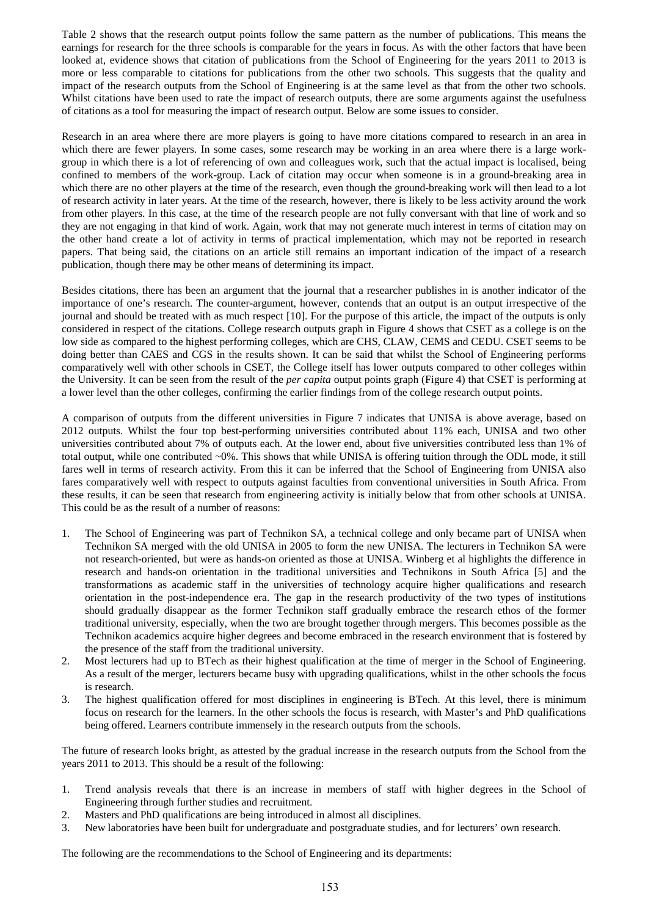Table 2 shows that the research output points follow the same pattern as the number of publications. This means the earnings for research for the three schools is comparable for the years in focus. As with the other factors that have been looked at, evidence shows that citation of publications from the School of Engineering for the years 2011 to 2013 is more or less comparable to citations for publications from the other two schools. This suggests that the quality and impact of the research outputs from the School of Engineering is at the same level as that from the other two schools. Whilst citations have been used to rate the impact of research outputs, there are some arguments against the usefulness of citations as a tool for measuring the impact of research output. Below are some issues to consider.

Research in an area where there are more players is going to have more citations compared to research in an area in which there are fewer players. In some cases, some research may be working in an area where there is a large workgroup in which there is a lot of referencing of own and colleagues work, such that the actual impact is localised, being confined to members of the work-group. Lack of citation may occur when someone is in a ground-breaking area in which there are no other players at the time of the research, even though the ground-breaking work will then lead to a lot of research activity in later years. At the time of the research, however, there is likely to be less activity around the work from other players. In this case, at the time of the research people are not fully conversant with that line of work and so they are not engaging in that kind of work. Again, work that may not generate much interest in terms of citation may on the other hand create a lot of activity in terms of practical implementation, which may not be reported in research papers. That being said, the citations on an article still remains an important indication of the impact of a research publication, though there may be other means of determining its impact.

Besides citations, there has been an argument that the journal that a researcher publishes in is another indicator of the importance of one's research. The counter-argument, however, contends that an output is an output irrespective of the journal and should be treated with as much respect [10]. For the purpose of this article, the impact of the outputs is only considered in respect of the citations. College research outputs graph in Figure 4 shows that CSET as a college is on the low side as compared to the highest performing colleges, which are CHS, CLAW, CEMS and CEDU. CSET seems to be doing better than CAES and CGS in the results shown. It can be said that whilst the School of Engineering performs comparatively well with other schools in CSET, the College itself has lower outputs compared to other colleges within the University. It can be seen from the result of the *per capita* output points graph (Figure 4) that CSET is performing at a lower level than the other colleges, confirming the earlier findings from of the college research output points.

A comparison of outputs from the different universities in Figure 7 indicates that UNISA is above average, based on 2012 outputs. Whilst the four top best-performing universities contributed about 11% each, UNISA and two other universities contributed about 7% of outputs each. At the lower end, about five universities contributed less than 1% of total output, while one contributed ~0%. This shows that while UNISA is offering tuition through the ODL mode, it still fares well in terms of research activity. From this it can be inferred that the School of Engineering from UNISA also fares comparatively well with respect to outputs against faculties from conventional universities in South Africa. From these results, it can be seen that research from engineering activity is initially below that from other schools at UNISA. This could be as the result of a number of reasons:

- 1. The School of Engineering was part of Technikon SA, a technical college and only became part of UNISA when Technikon SA merged with the old UNISA in 2005 to form the new UNISA. The lecturers in Technikon SA were not research-oriented, but were as hands-on oriented as those at UNISA. Winberg et al highlights the difference in research and hands-on orientation in the traditional universities and Technikons in South Africa [5] and the transformations as academic staff in the universities of technology acquire higher qualifications and research orientation in the post-independence era. The gap in the research productivity of the two types of institutions should gradually disappear as the former Technikon staff gradually embrace the research ethos of the former traditional university, especially, when the two are brought together through mergers. This becomes possible as the Technikon academics acquire higher degrees and become embraced in the research environment that is fostered by the presence of the staff from the traditional university.
- 2. Most lecturers had up to BTech as their highest qualification at the time of merger in the School of Engineering. As a result of the merger, lecturers became busy with upgrading qualifications, whilst in the other schools the focus is research.
- 3. The highest qualification offered for most disciplines in engineering is BTech. At this level, there is minimum focus on research for the learners. In the other schools the focus is research, with Master's and PhD qualifications being offered. Learners contribute immensely in the research outputs from the schools.

The future of research looks bright, as attested by the gradual increase in the research outputs from the School from the years 2011 to 2013. This should be a result of the following:

- 1. Trend analysis reveals that there is an increase in members of staff with higher degrees in the School of Engineering through further studies and recruitment.
- 2. Masters and PhD qualifications are being introduced in almost all disciplines.
- 3. New laboratories have been built for undergraduate and postgraduate studies, and for lecturers' own research.

The following are the recommendations to the School of Engineering and its departments: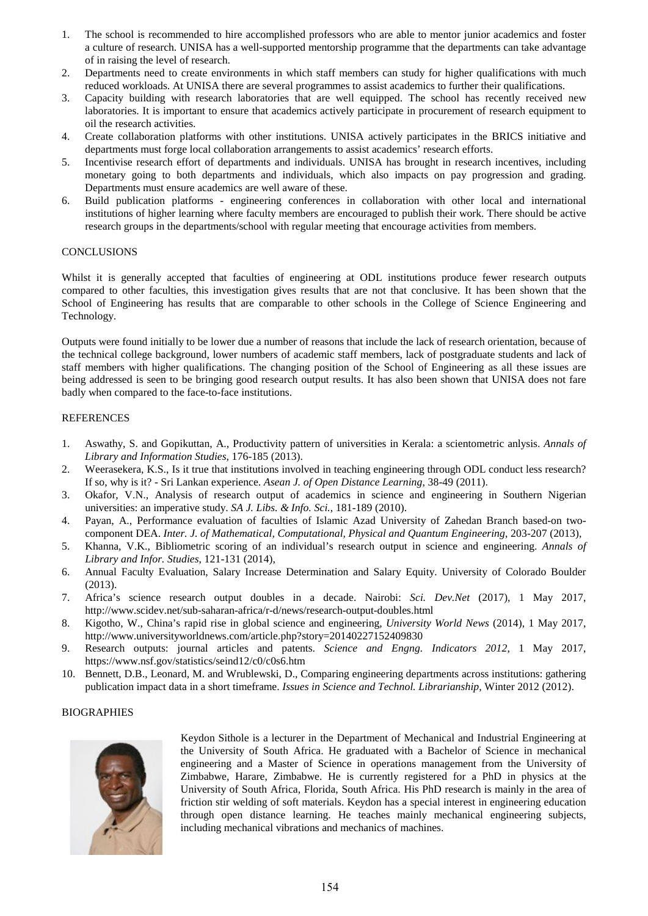- 1. The school is recommended to hire accomplished professors who are able to mentor junior academics and foster a culture of research. UNISA has a well-supported mentorship programme that the departments can take advantage of in raising the level of research.
- 2. Departments need to create environments in which staff members can study for higher qualifications with much reduced workloads. At UNISA there are several programmes to assist academics to further their qualifications.
- 3. Capacity building with research laboratories that are well equipped. The school has recently received new laboratories. It is important to ensure that academics actively participate in procurement of research equipment to oil the research activities.
- 4. Create collaboration platforms with other institutions. UNISA actively participates in the BRICS initiative and departments must forge local collaboration arrangements to assist academics' research efforts.
- 5. Incentivise research effort of departments and individuals. UNISA has brought in research incentives, including monetary going to both departments and individuals, which also impacts on pay progression and grading. Departments must ensure academics are well aware of these.
- 6. Build publication platforms engineering conferences in collaboration with other local and international institutions of higher learning where faculty members are encouraged to publish their work. There should be active research groups in the departments/school with regular meeting that encourage activities from members.

### **CONCLUSIONS**

Whilst it is generally accepted that faculties of engineering at ODL institutions produce fewer research outputs compared to other faculties, this investigation gives results that are not that conclusive. It has been shown that the School of Engineering has results that are comparable to other schools in the College of Science Engineering and Technology.

Outputs were found initially to be lower due a number of reasons that include the lack of research orientation, because of the technical college background, lower numbers of academic staff members, lack of postgraduate students and lack of staff members with higher qualifications. The changing position of the School of Engineering as all these issues are being addressed is seen to be bringing good research output results. It has also been shown that UNISA does not fare badly when compared to the face-to-face institutions.

### REFERENCES

- 1. Aswathy, S. and Gopikuttan, A., Productivity pattern of universities in Kerala: a scientometric anlysis. *Annals of Library and Information Studies*, 176-185 (2013).
- 2. Weerasekera, K.S., Is it true that institutions involved in teaching engineering through ODL conduct less research? If so, why is it? - Sri Lankan experience. *Asean J. of Open Distance Learning*, 38-49 (2011).
- 3. Okafor, V.N., Analysis of research output of academics in science and engineering in Southern Nigerian universities: an imperative study. *SA J. Libs. & Info. Sci.*, 181-189 (2010).
- 4. Payan, A., Performance evaluation of faculties of Islamic Azad University of Zahedan Branch based-on twocomponent DEA. *Inter. J. of Mathematical, Computational, Physical and Quantum Engineering*, 203-207 (2013),
- 5. Khanna, V.K., Bibliometric scoring of an individual's research output in science and engineering. *Annals of Library and Infor. Studies*, 121-131 (2014),
- 6. Annual Faculty Evaluation, Salary Increase Determination and Salary Equity. University of Colorado Boulder (2013).
- 7. Africa's science research output doubles in a decade. Nairobi: *Sci. Dev.Net* (2017), 1 May 2017, http://www.scidev.net/sub-saharan-africa/r-d/news/research-output-doubles.html
- 8. Kigotho, W., China's rapid rise in global science and engineering*, University World News* (2014), 1 May 2017, http://www.universityworldnews.com/article.php?story=20140227152409830
- 9. Research outputs: journal articles and patents. *Science and Engng. Indicators 2012*, 1 May 2017, https://www.nsf.gov/statistics/seind12/c0/c0s6.htm
- 10. Bennett, D.B., Leonard, M. and Wrublewski, D., Comparing engineering departments across institutions: gathering publication impact data in a short timeframe. *Issues in Science and Technol. Librarianship,* Winter 2012 (2012).

#### **BIOGRAPHIES**



Keydon Sithole is a lecturer in the Department of Mechanical and Industrial Engineering at the University of South Africa. He graduated with a Bachelor of Science in mechanical engineering and a Master of Science in operations management from the University of Zimbabwe, Harare, Zimbabwe. He is currently registered for a PhD in physics at the University of South Africa, Florida, South Africa. His PhD research is mainly in the area of friction stir welding of soft materials. Keydon has a special interest in engineering education through open distance learning. He teaches mainly mechanical engineering subjects, including mechanical vibrations and mechanics of machines.